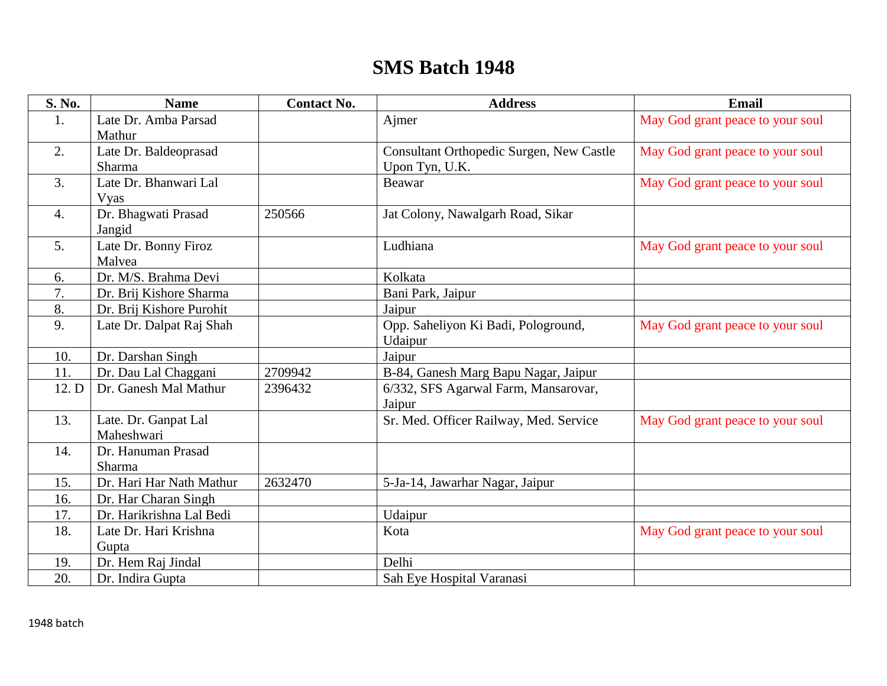## **SMS Batch 1948**

| S. No. | <b>Name</b>              | <b>Contact No.</b> | <b>Address</b>                           | <b>Email</b>                     |
|--------|--------------------------|--------------------|------------------------------------------|----------------------------------|
| 1.     | Late Dr. Amba Parsad     |                    | Ajmer                                    | May God grant peace to your soul |
|        | Mathur                   |                    |                                          |                                  |
| 2.     | Late Dr. Baldeoprasad    |                    | Consultant Orthopedic Surgen, New Castle | May God grant peace to your soul |
|        | Sharma                   |                    | Upon Tyn, U.K.                           |                                  |
| 3.     | Late Dr. Bhanwari Lal    |                    | <b>Beawar</b>                            | May God grant peace to your soul |
|        | <b>Vyas</b>              |                    |                                          |                                  |
| 4.     | Dr. Bhagwati Prasad      | 250566             | Jat Colony, Nawalgarh Road, Sikar        |                                  |
|        | Jangid                   |                    |                                          |                                  |
| 5.     | Late Dr. Bonny Firoz     |                    | Ludhiana                                 | May God grant peace to your soul |
|        | Malvea                   |                    |                                          |                                  |
| 6.     | Dr. M/S. Brahma Devi     |                    | Kolkata                                  |                                  |
| 7.     | Dr. Brij Kishore Sharma  |                    | Bani Park, Jaipur                        |                                  |
| 8.     | Dr. Brij Kishore Purohit |                    | Jaipur                                   |                                  |
| 9.     | Late Dr. Dalpat Raj Shah |                    | Opp. Saheliyon Ki Badi, Pologround,      | May God grant peace to your soul |
|        |                          |                    | Udaipur                                  |                                  |
| 10.    | Dr. Darshan Singh        |                    | Jaipur                                   |                                  |
| 11.    | Dr. Dau Lal Chaggani     | 2709942            | B-84, Ganesh Marg Bapu Nagar, Jaipur     |                                  |
| 12. D  | Dr. Ganesh Mal Mathur    | 2396432            | 6/332, SFS Agarwal Farm, Mansarovar,     |                                  |
|        |                          |                    | Jaipur                                   |                                  |
| 13.    | Late. Dr. Ganpat Lal     |                    | Sr. Med. Officer Railway, Med. Service   | May God grant peace to your soul |
|        | Maheshwari               |                    |                                          |                                  |
| 14.    | Dr. Hanuman Prasad       |                    |                                          |                                  |
|        | Sharma                   |                    |                                          |                                  |
| 15.    | Dr. Hari Har Nath Mathur | 2632470            | 5-Ja-14, Jawarhar Nagar, Jaipur          |                                  |
| 16.    | Dr. Har Charan Singh     |                    |                                          |                                  |
| 17.    | Dr. Harikrishna Lal Bedi |                    | Udaipur                                  |                                  |
| 18.    | Late Dr. Hari Krishna    |                    | Kota                                     | May God grant peace to your soul |
|        | Gupta                    |                    |                                          |                                  |
| 19.    | Dr. Hem Raj Jindal       |                    | Delhi                                    |                                  |
| 20.    | Dr. Indira Gupta         |                    | Sah Eye Hospital Varanasi                |                                  |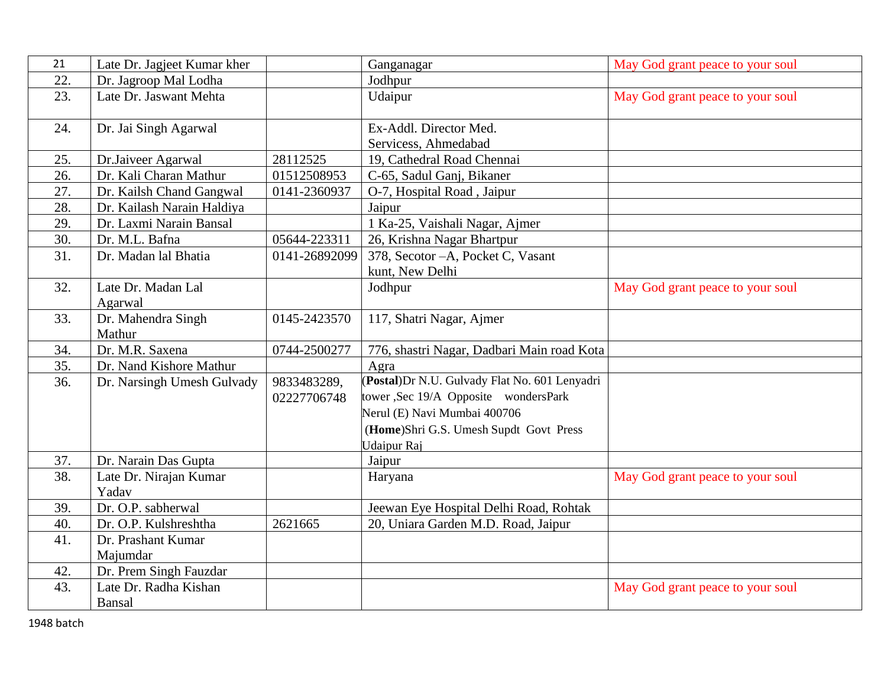| 21  | Late Dr. Jagjeet Kumar kher |               | Ganganagar                                   | May God grant peace to your soul |
|-----|-----------------------------|---------------|----------------------------------------------|----------------------------------|
| 22. | Dr. Jagroop Mal Lodha       |               | Jodhpur                                      |                                  |
| 23. | Late Dr. Jaswant Mehta      |               | Udaipur                                      | May God grant peace to your soul |
|     |                             |               |                                              |                                  |
| 24. | Dr. Jai Singh Agarwal       |               | Ex-Addl. Director Med.                       |                                  |
|     |                             |               | Servicess, Ahmedabad                         |                                  |
| 25. | Dr.Jaiveer Agarwal          | 28112525      | 19, Cathedral Road Chennai                   |                                  |
| 26. | Dr. Kali Charan Mathur      | 01512508953   | C-65, Sadul Ganj, Bikaner                    |                                  |
| 27. | Dr. Kailsh Chand Gangwal    | 0141-2360937  | O-7, Hospital Road, Jaipur                   |                                  |
| 28. | Dr. Kailash Narain Haldiya  |               | Jaipur                                       |                                  |
| 29. | Dr. Laxmi Narain Bansal     |               | 1 Ka-25, Vaishali Nagar, Ajmer               |                                  |
| 30. | Dr. M.L. Bafna              | 05644-223311  | 26, Krishna Nagar Bhartpur                   |                                  |
| 31. | Dr. Madan lal Bhatia        | 0141-26892099 | 378, Secotor - A, Pocket C, Vasant           |                                  |
|     |                             |               | kunt, New Delhi                              |                                  |
| 32. | Late Dr. Madan Lal          |               | Jodhpur                                      | May God grant peace to your soul |
|     | Agarwal                     |               |                                              |                                  |
| 33. | Dr. Mahendra Singh          | 0145-2423570  | 117, Shatri Nagar, Ajmer                     |                                  |
|     | Mathur                      |               |                                              |                                  |
| 34. | Dr. M.R. Saxena             | 0744-2500277  | 776, shastri Nagar, Dadbari Main road Kota   |                                  |
| 35. | Dr. Nand Kishore Mathur     |               | Agra                                         |                                  |
| 36. | Dr. Narsingh Umesh Gulvady  | 9833483289,   | Postal)Dr N.U. Gulvady Flat No. 601 Lenyadri |                                  |
|     |                             | 02227706748   | tower, Sec 19/A Opposite wondersPark         |                                  |
|     |                             |               | Nerul (E) Navi Mumbai 400706                 |                                  |
|     |                             |               | (Home)Shri G.S. Umesh Supdt Govt Press       |                                  |
|     |                             |               | Udaipur Raj                                  |                                  |
| 37. | Dr. Narain Das Gupta        |               | Jaipur                                       |                                  |
| 38. | Late Dr. Nirajan Kumar      |               | Haryana                                      | May God grant peace to your soul |
|     | Yadav                       |               |                                              |                                  |
| 39. | Dr. O.P. sabherwal          |               | Jeewan Eye Hospital Delhi Road, Rohtak       |                                  |
| 40. | Dr. O.P. Kulshreshtha       | 2621665       | 20, Uniara Garden M.D. Road, Jaipur          |                                  |
| 41. | Dr. Prashant Kumar          |               |                                              |                                  |
|     | Majumdar                    |               |                                              |                                  |
| 42. | Dr. Prem Singh Fauzdar      |               |                                              |                                  |
| 43. | Late Dr. Radha Kishan       |               |                                              | May God grant peace to your soul |
|     | Bansal                      |               |                                              |                                  |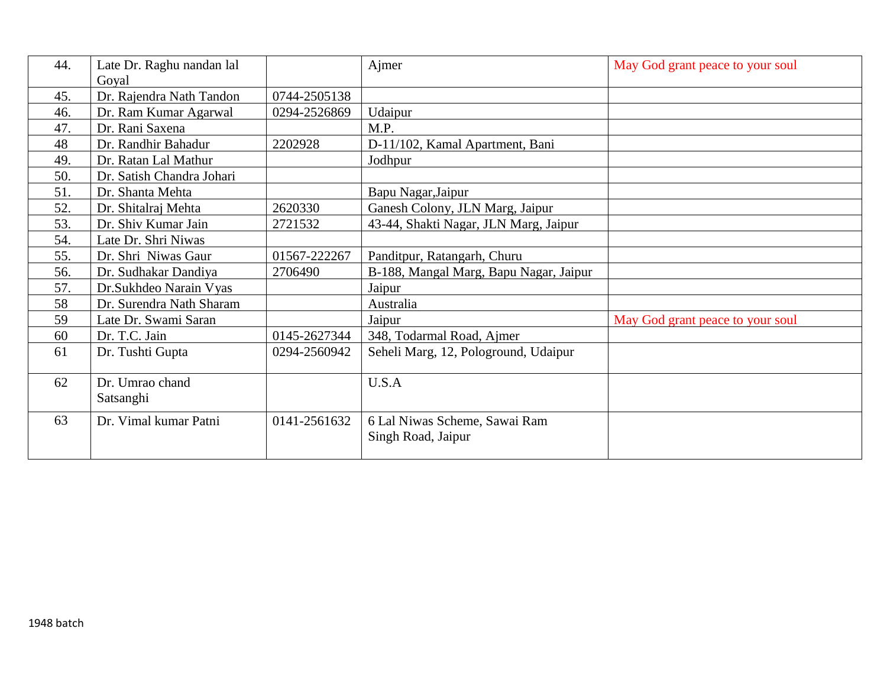| 44. | Late Dr. Raghu nandan lal |              | Ajmer                                  | May God grant peace to your soul |
|-----|---------------------------|--------------|----------------------------------------|----------------------------------|
|     | Goyal                     |              |                                        |                                  |
| 45. | Dr. Rajendra Nath Tandon  | 0744-2505138 |                                        |                                  |
| 46. | Dr. Ram Kumar Agarwal     | 0294-2526869 | Udaipur                                |                                  |
| 47. | Dr. Rani Saxena           |              | M.P.                                   |                                  |
| 48  | Dr. Randhir Bahadur       | 2202928      | D-11/102, Kamal Apartment, Bani        |                                  |
| 49. | Dr. Ratan Lal Mathur      |              | Jodhpur                                |                                  |
| 50. | Dr. Satish Chandra Johari |              |                                        |                                  |
| 51. | Dr. Shanta Mehta          |              | Bapu Nagar, Jaipur                     |                                  |
| 52. | Dr. Shitalraj Mehta       | 2620330      | Ganesh Colony, JLN Marg, Jaipur        |                                  |
| 53. | Dr. Shiv Kumar Jain       | 2721532      | 43-44, Shakti Nagar, JLN Marg, Jaipur  |                                  |
| 54. | Late Dr. Shri Niwas       |              |                                        |                                  |
| 55. | Dr. Shri Niwas Gaur       | 01567-222267 | Panditpur, Ratangarh, Churu            |                                  |
| 56. | Dr. Sudhakar Dandiya      | 2706490      | B-188, Mangal Marg, Bapu Nagar, Jaipur |                                  |
| 57. | Dr. Sukhdeo Narain Vyas   |              | Jaipur                                 |                                  |
| 58  | Dr. Surendra Nath Sharam  |              | Australia                              |                                  |
| 59  | Late Dr. Swami Saran      |              | Jaipur                                 | May God grant peace to your soul |
| 60  | Dr. T.C. Jain             | 0145-2627344 | 348, Todarmal Road, Ajmer              |                                  |
| 61  | Dr. Tushti Gupta          | 0294-2560942 | Seheli Marg, 12, Pologround, Udaipur   |                                  |
| 62  | Dr. Umrao chand           |              | U.S.A                                  |                                  |
|     | Satsanghi                 |              |                                        |                                  |
| 63  | Dr. Vimal kumar Patni     | 0141-2561632 | 6 Lal Niwas Scheme, Sawai Ram          |                                  |
|     |                           |              | Singh Road, Jaipur                     |                                  |
|     |                           |              |                                        |                                  |